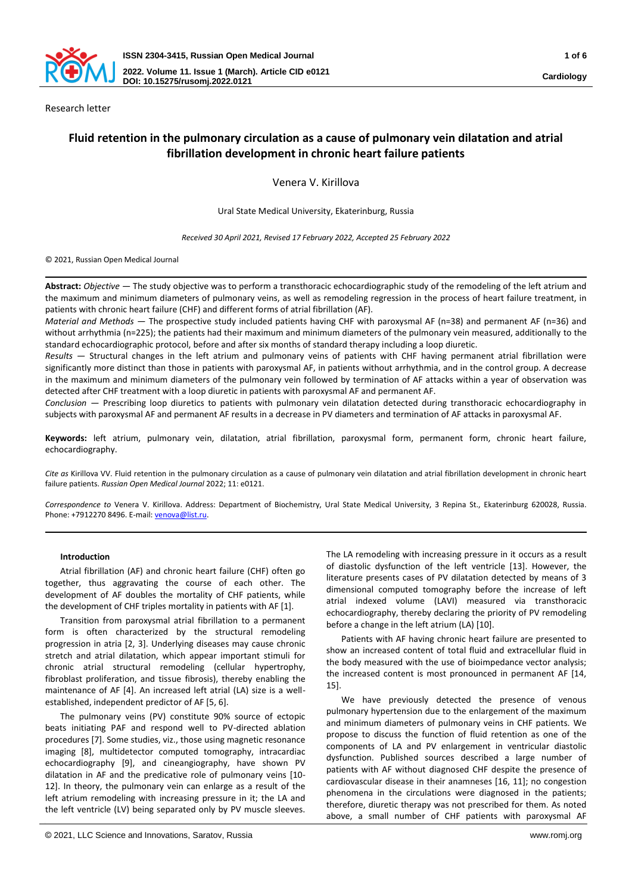

Research letter

# **Fluid retention in the pulmonary circulation as a cause of pulmonary vein dilatation and atrial fibrillation development in chronic heart failure patients**

Venera V. Kirillova

Ural State Medical University, Ekaterinburg, Russia

*Received 30 April 2021, Revised 17 February 2022, Accepted 25 February 2022*

© 2021, Russian Open Medical Journal

**Abstract:** *Objective —* The study objective was to perform a transthoracic echocardiographic study of the remodeling of the left atrium and the maximum and minimum diameters of pulmonary veins, as well as remodeling regression in the process of heart failure treatment, in patients with chronic heart failure (CHF) and different forms of atrial fibrillation (AF).

*Material and Methods* — The prospective study included patients having CHF with paroxysmal AF (n=38) and permanent AF (n=36) and without arrhythmia (n=225); the patients had their maximum and minimum diameters of the pulmonary vein measured, additionally to the standard echocardiographic protocol, before and after six months of standard therapy including a loop diuretic.

*Results —* Structural changes in the left atrium and pulmonary veins of patients with CHF having permanent atrial fibrillation were significantly more distinct than those in patients with paroxysmal AF, in patients without arrhythmia, and in the control group. A decrease in the maximum and minimum diameters of the pulmonary vein followed by termination of AF attacks within a year of observation was detected after CHF treatment with a loop diuretic in patients with paroxysmal AF and permanent AF.

*Conclusion —* Prescribing loop diuretics to patients with pulmonary vein dilatation detected during transthoracic echocardiography in subjects with paroxysmal AF and permanent AF results in a decrease in PV diameters and termination of AF attacks in paroxysmal AF.

**Keywords:** left atrium, pulmonary vein, dilatation, atrial fibrillation, paroxysmal form, permanent form, chronic heart failure, echocardiography.

*Cite as* Kirillova VV. Fluid retention in the pulmonary circulation as a cause of pulmonary vein dilatation and atrial fibrillation development in chronic heart failure patients. *Russian Open Medical Journal* 2022; 11: e0121.

*Correspondence to* Venera V. Kirillova. Address: Department of Biochemistry, Ural State Medical University, 3 Repina St., Ekaterinburg 620028, Russia. Phone: +7912270 8496. E-mail: venova@list.ru.

# **Introduction**

Atrial fibrillation (AF) and chronic heart failure (CHF) often go together, thus aggravating the course of each other. The development of AF doubles the mortality of CHF patients, while the development of CHF triples mortality in patients with AF [1].

Transition from paroxysmal atrial fibrillation to a permanent form is often characterized by the structural remodeling progression in atria [2, 3]. Underlying diseases may cause chronic stretch and atrial dilatation, which appear important stimuli for chronic atrial structural remodeling (cellular hypertrophy, fibroblast proliferation, and tissue fibrosis), thereby enabling the maintenance of AF [4]. An increased left atrial (LA) size is a wellestablished, independent predictor of AF [5, 6].

The pulmonary veins (PV) constitute 90% source of ectopic beats initiating PAF and respond well to PV-directed ablation procedures [7]. Some studies, viz., those using magnetic resonance imaging [8], multidetector computed tomography, intracardiac echocardiography [9], and cineangiography, have shown PV dilatation in AF and the predicative role of pulmonary veins [10- 12]. In theory, the pulmonary vein can enlarge as a result of the left atrium remodeling with increasing pressure in it; the LA and the left ventricle (LV) being separated only by PV muscle sleeves.

The LA remodeling with increasing pressure in it occurs as a result of diastolic dysfunction of the left ventricle [13]. However, the literature presents cases of PV dilatation detected by means of 3 dimensional computed tomography before the increase of left atrial indexed volume (LAVI) measured via transthoracic echocardiography, thereby declaring the priority of PV remodeling before a change in the left atrium (LA) [10].

Patients with AF having chronic heart failure are presented to show an increased content of total fluid and extracellular fluid in the body measured with the use of bioimpedance vector analysis; the increased content is most pronounced in permanent AF [14, 15].

We have previously detected the presence of venous pulmonary hypertension due to the enlargement of the maximum and minimum diameters of pulmonary veins in CHF patients. We propose to discuss the function of fluid retention as one of the components of LA and PV enlargement in ventricular diastolic dysfunction. Published sources described a large number of patients with AF without diagnosed CHF despite the presence of cardiovascular disease in their anamneses [16, 11]; no congestion phenomena in the circulations were diagnosed in the patients; therefore, diuretic therapy was not prescribed for them. As noted above, a small number of CHF patients with paroxysmal AF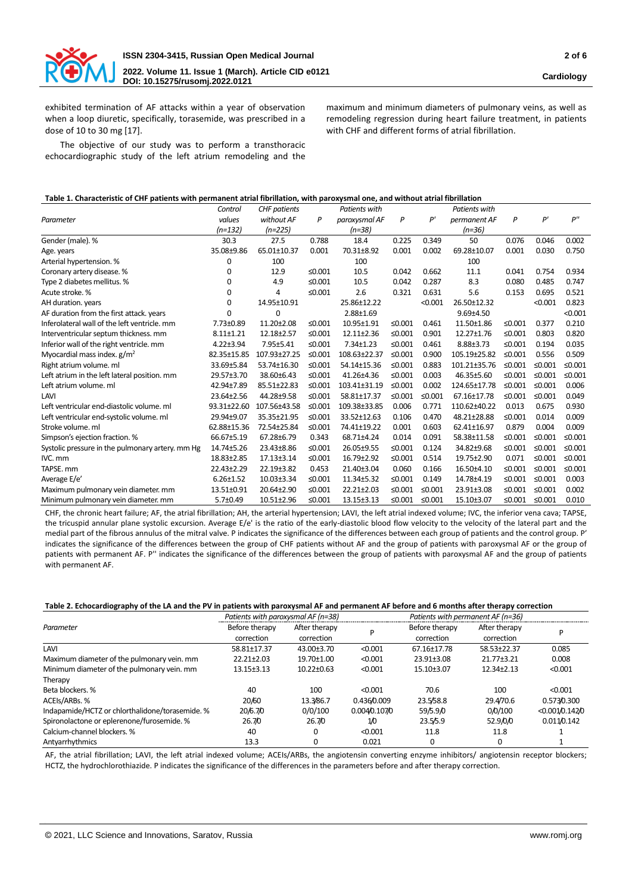

exhibited termination of AF attacks within a year of observation when a loop diuretic, specifically, torasemide, was prescribed in a dose of 10 to 30 mg [17].

maximum and minimum diameters of pulmonary veins, as well as remodeling regression during heart failure treatment, in patients with CHF and different forms of atrial fibrillation.

The objective of our study was to perform a transthoracic echocardiographic study of the left atrium remodeling and the

## **Table 1. Characteristic of CHF patients with permanent atrial fibrillation, with paroxysmal one, and without atrial fibrillation**

|                                                  | Control         | <b>CHF</b> patients |           | <b>Patients with</b> |                        |        | Patients with   |           |           |           |
|--------------------------------------------------|-----------------|---------------------|-----------|----------------------|------------------------|--------|-----------------|-----------|-----------|-----------|
| Parameter                                        | values          | without AF          | P         | paroxysmal AF        | P                      | P'     | permanent AF    | P         | P'        | P''       |
|                                                  | (n=132)         | $(n=225)$           |           | $(n=38)$             |                        |        | $(n=36)$        |           |           |           |
| Gender (male). %                                 | 30.3            | 27.5                | 0.788     | 18.4                 | 0.225                  | 0.349  | 50              | 0.076     | 0.046     | 0.002     |
| Age. years                                       | 35.08±9.86      | 65.01±10.37         | 0.001     | 70.31±8.92           | 0.001                  | 0.002  | 69.28±10.07     | 0.001     | 0.030     | 0.750     |
| Arterial hypertension. %                         | 0               | 100                 |           | 100                  |                        | 100    |                 |           |           |           |
| Coronary artery disease. %                       | 0               | 12.9                | ≤ $0.001$ | 10.5                 | 0.042                  | 0.662  | 11.1            | 0.041     | 0.754     | 0.934     |
| Type 2 diabetes mellitus. %                      | 0               | 4.9                 | ≤ $0.001$ | 10.5                 | 0.042                  | 0.287  | 8.3             | 0.080     | 0.485     | 0.747     |
| Acute stroke. %                                  | 0               | 4                   | ≤ $0.001$ | 2.6                  | 0.321                  | 0.631  | 5.6             | 0.153     | 0.695     | 0.521     |
| AH duration. years                               | 0               | 14.95±10.91         |           | 25.86±12.22          | < 0.001<br>26.50±12.32 |        |                 | < 0.001   | 0.823     |           |
| AF duration from the first attack. years         | O               | 0                   |           | 2.88±1.69            |                        |        | $9.69{\pm}4.50$ |           |           | < 0.001   |
| Inferolateral wall of the left ventricle, mm     | 7.73±0.89       | 11.20±2.08          | ≤ $0.001$ | 10.95±1.91           | ≤ $0.001$              | 0.461  | 11.50±1.86      | ≤ $0.001$ | 0.377     | 0.210     |
| Interventricular septum thickness. mm            | $8.11 \pm 1.21$ | 12.18±2.57          | ≤0.001    | 12.11±2.36           | ≤0.001                 | 0.901  | 12.27±1.76      | ≤ $0.001$ | 0.803     | 0.820     |
| Inferior wall of the right ventricle. mm         | $4.22 \pm 3.94$ | 7.95±5.41           | ≤ $0.001$ | 7.34±1.23            | ≤0.001                 | 0.461  | 8.88±3.73       | ≤0.001    | 0.194     | 0.035     |
| Myocardial mass index. $g/m^2$                   | 82.35±15.85     | 107.93±27.25        | ≤ $0.001$ | 108.63±22.37         | ≤0.001                 | 0.900  | 105.19±25.82    | ≤ $0.001$ | 0.556     | 0.509     |
| Right atrium volume. ml                          | 33.69±5.84      | 53.74±16.30         | ≤0.001    | 54.14±15.36          | ≤0.001                 | 0.883  | 101.21±35.76    | ≤0.001    | ≤0.001    | ≤0.001    |
| Left atrium in the left lateral position. mm     | 29.57±3.70      | 38.60±6.43          | ≤ $0.001$ | 41.26±4.36           | ≤ $0.001$              | 0.003  | 46.35±5.60      | ≤ $0.001$ | ≤0.001    | ≤ $0.001$ |
| Left atrium volume, ml                           | 42.94±7.89      | 85.51±22.83         | ≤ $0.001$ | 103.41±31.19         | ≤0.001                 | 0.002  | 124.65±17.78    | ≤0.001    | ≤0.001    | 0.006     |
| LAVI                                             | 23.64±2.56      | 44.28±9.58          | ≤ $0.001$ | 58.81±17.37          | ≤ $0.001$              | ≤0.001 | 67.16±17.78     | $≤0.001$  | ≤ $0.001$ | 0.049     |
| Left ventricular end-diastolic volume, ml        | 93.31±22.60     | 107.56±43.58        | ≤0.001    | 109.38±33.85         | 0.006                  | 0.771  | 110.62±40.22    | 0.013     | 0.675     | 0.930     |
| Left ventricular end-systolic volume. ml         | 29.94±9.07      | 35.35±21.95         | ≤0.001    | 33.52±12.63          | 0.106                  | 0.470  | 48.21±28.88     | ≤ $0.001$ | 0.014     | 0.009     |
| Stroke volume, ml                                | 62.88±15.36     | 72.54±25.84         | ≤0.001    | 74.41±19.22          | 0.001                  | 0.603  | 62.41±16.97     | 0.879     | 0.004     | 0.009     |
| Simpson's ejection fraction. %                   | 66.67±5.19      | 67.28±6.79          | 0.343     | 68.71±4.24           | 0.014                  | 0.091  | 58.38±11.58     | ≤ $0.001$ | ≤ $0.001$ | ≤ $0.001$ |
| Systolic pressure in the pulmonary artery. mm Hg | 14.74±5.26      | 23.43±8.86          | ≤0.001    | 26.05±9.55           | ≤ $0.001$              | 0.124  | 34.82±9.68      | ≤ $0.001$ | ≤ $0.001$ | ≤0.001    |
| IVC. mm                                          | 18.83±2.85      | 17.13±3.14          | ≤0.001    | 16.79±2.92           | ≤0.001                 | 0.514  | 19.75±2.90      | 0.071     | ≤0.001    | ≤ $0.001$ |
| TAPSE, mm                                        | 22.43±2.29      | 22.19±3.82          | 0.453     | 21.40±3.04           | 0.060                  | 0.166  | 16.50±4.10      | ≤0.001    | ≤0.001    | ≤ $0.001$ |
| Average E/e'                                     | $6.26 \pm 1.52$ | 10.03±3.34          | ≤ $0.001$ | 11.34±5.32           | ≤ $0.001$              | 0.149  | 14.78±4.19      | ≤ $0.001$ | ≤ $0.001$ | 0.003     |
| Maximum pulmonary vein diameter. mm              | 13.51±0.91      | 20.64±2.90          | ≤ $0.001$ | 22.21±2.03           | ≤ $0.001$              | ≤0.001 | 23.91±3.08      | ≤ $0.001$ | ≤0.001    | 0.002     |
| Minimum pulmonary vein diameter. mm              | $5.7 + 0.49$    | 10.51±2.96          | ≤ $0.001$ | 13.15±3.13           | ≤ $0.001$              | ≤0.001 | 15.10±3.07      | ≤0.001    | ≤0.001    | 0.010     |

CHF, the chronic heart failure; AF, the atrial fibrillation; AH, the arterial hypertension; LAVI, the left atrial indexed volume; IVC, the inferior vena cava; TAPSE, the tricuspid annular plane systolic excursion. Average Е/е' is the ratio of the early-diastolic blood flow velocity to the velocity of the lateral part and the medial part of the fibrous annulus of the mitral valve. P indicates the significance of the differences between each group of patients and the control group. P' indicates the significance of the differences between the group of CHF patients without AF and the group of patients with paroxysmal AF or the group of patients with permanent AF. P'' indicates the significance of the differences between the group of patients with paroxysmal AF and the group of patients with permanent AF.

### **Table 2. Echocardiography of the LA and the PV in patients with paroxysmal AF and permanent AF before and 6 months after therapy correction**

|                                                 | Patients with paroxysmal AF (n=38) |                             |               | Patients with permanent AF (n=36) |                             |                     |  |
|-------------------------------------------------|------------------------------------|-----------------------------|---------------|-----------------------------------|-----------------------------|---------------------|--|
| Parameter                                       | Before therapy<br>correction       | After therapy<br>correction |               | Before therapy<br>correction      | After therapy<br>correction |                     |  |
| LAVI                                            | 58.81±17.37                        | 43.00±3.70                  | < 0.001       | 67.16±17.78                       | 58.53±22.37                 | 0.085               |  |
| Maximum diameter of the pulmonary vein. mm      | 22.21±2.03                         | 19.70±1.00                  | < 0.001       | 23.91±3.08                        | 21.77±3.21                  | 0.008               |  |
| Minimum diameter of the pulmonary vein. mm      | 13.15±3.13                         | $10.22 \pm 0.63$            | < 0.001       | 15.10±3.07                        | 12.34±2.13                  | < 0.001             |  |
| Therapy                                         |                                    |                             |               |                                   |                             |                     |  |
| Beta blockers. %                                | 40                                 | 100                         | < 0.001       | 70.6                              | 100                         | < 0.001             |  |
| ACEIs/ARBs. %                                   | 20/60                              | 13.3/86.7                   | 0.4360.009    | 23.5/58.8                         | 29.4/70.6                   | 0.573/0.300         |  |
| Indapamide/HCTZ or chlorthalidone/torasemide. % | 20/6.7/0                           | 0/0/100                     | 0.004/0.107/0 | 59/5.9/0                          | 0/0/100                     | < 0.001 / 0.142 / 0 |  |
| Spironolactone or eplerenone/furosemide. %      | 26.70                              | 26.70                       | 1/0           | 23.5/5.9                          | 52.9/0/0                    | 0.0110.142          |  |
| Calcium-channel blockers. %                     | 40                                 |                             | < 0.001       | 11.8                              | 11.8                        |                     |  |
| Antyarrhythmics                                 | 13.3                               |                             | 0.021         | 0                                 | 0                           |                     |  |

AF, the atrial fibrillation; LAVI, the left atrial indexed volume; ACEIs/ARBs, the angiotensin converting enzyme inhibitors/ angiotensin receptor blockers; HCTZ, the hydrochlorothiazide. P indicates the significance of the differences in the parameters before and after therapy correction.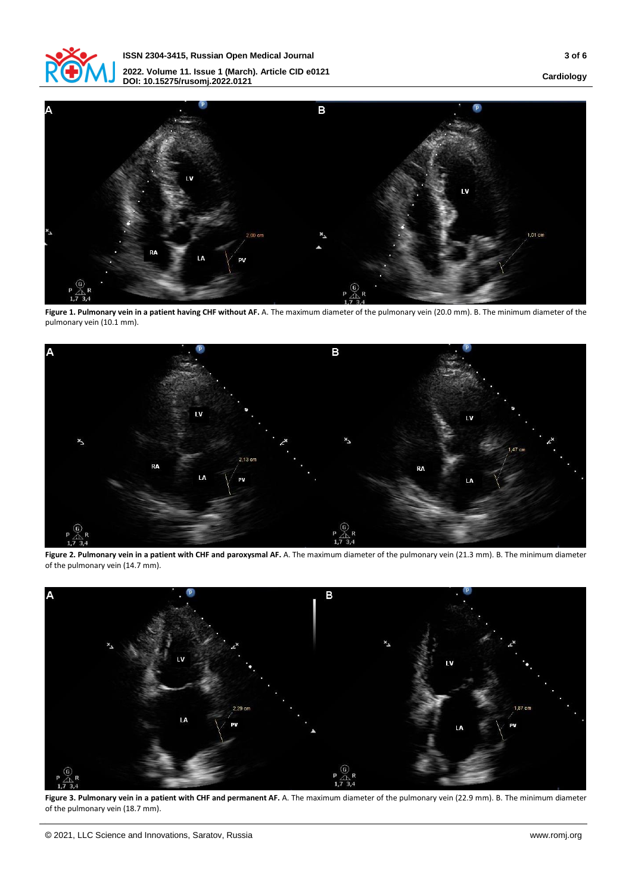

**ISSN 2304-3415, Russian Open Medical Journal 3 of 6 2022. Volume 11. Issue 1 (March). Article CID e0121 DOI: 10.15275/rusomj.2022.0121**

**Cardiology**



Figure 1. Pulmonary vein in a patient having CHF without AF. A. The maximum diameter of the pulmonary vein (20.0 mm). B. The minimum diameter of the pulmonary vein (10.1 mm).



Figure 2. Pulmonary vein in a patient with CHF and paroxysmal AF. A. The maximum diameter of the pulmonary vein (21.3 mm). B. The minimum diameter of the pulmonary vein (14.7 mm).



**Figure 3. Pulmonary vein in a patient with CHF and permanent AF.** A. The maximum diameter of the pulmonary vein (22.9 mm). B. The minimum diameter of the pulmonary vein (18.7 mm).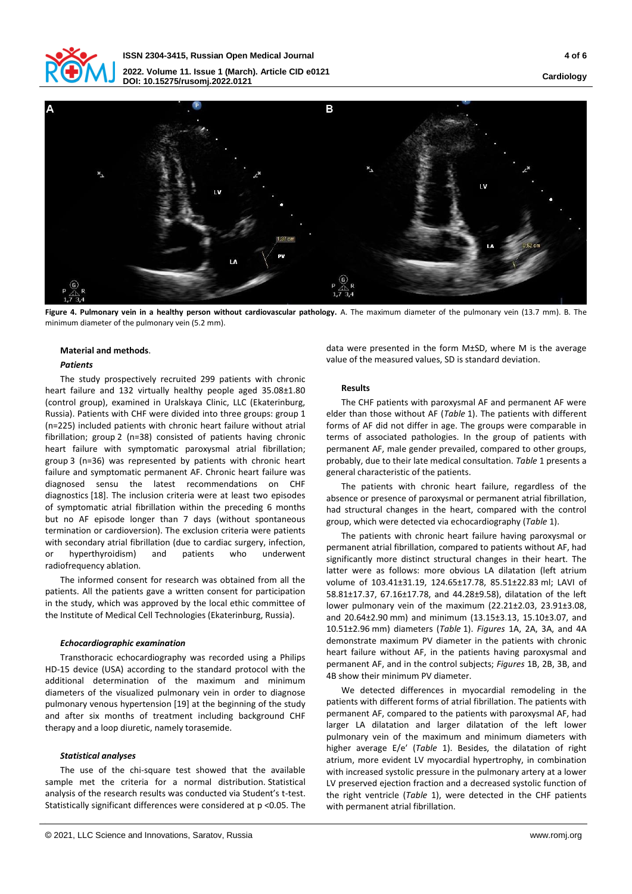



**Figure 4. Pulmonary vein in a healthy person without cardiovascular pathology.** A. The maximum diameter of the pulmonary vein (13.7 mm). B. The minimum diameter of the pulmonary vein (5.2 mm).

### **Material and methods**.

# *Patients*

The study prospectively recruited 299 patients with chronic heart failure and 132 virtually healthy people aged 35.08±1.80 (control group), examined in Uralskaya Clinic, LLC (Ekaterinburg, Russia). Patients with CHF were divided into three groups: group 1 (n=225) included patients with chronic heart failure without atrial fibrillation; group 2 (n=38) consisted of patients having chronic heart failure with symptomatic paroxysmal atrial fibrillation; group 3 (n=36) was represented by patients with chronic heart failure and symptomatic permanent AF. Chronic heart failure was diagnosed sensu the latest recommendations on CHF diagnostics [18]. The inclusion criteria were at least two episodes of symptomatic atrial fibrillation within the preceding 6 months but no AF episode longer than 7 days (without spontaneous termination or cardioversion). The exclusion criteria were patients with secondary atrial fibrillation (due to cardiac surgery, infection, or hyperthyroidism) and patients who underwent radiofrequency ablation.

The informed consent for research was obtained from all the patients. All the patients gave a written consent for participation in the study, which was approved by the local ethic committee of the Institute of Medical Cell Technologies (Ekaterinburg, Russia).

# *Echocardiographic examination*

Transthoracic echocardiography was recorded using a Philips HD-15 device (USA) according to the standard protocol with the additional determination of the maximum and minimum diameters of the visualized pulmonary vein in order to diagnose pulmonary venous hypertension [19] at the beginning of the study and after six months of treatment including background CHF therapy and a loop diuretic, namely torasemide.

### *Statistical analyses*

The use of the chi-square test showed that the available sample met the criteria for a normal distribution. Statistical analysis of the research results was conducted via Student's t-test. Statistically significant differences were considered at p <0.05. The

data were presented in the form M±SD, where M is the average value of the measured values, SD is standard deviation.

# **Results**

The CHF patients with paroxysmal AF and permanent AF were elder than those without AF (*Table* 1). The patients with different forms of AF did not differ in age. The groups were comparable in terms of associated pathologies. In the group of patients with permanent AF, male gender prevailed, compared to other groups, probably, due to their late medical consultation. *Table* 1 presents a general characteristic of the patients.

The patients with chronic heart failure, regardless of the absence or presence of paroxysmal or permanent atrial fibrillation, had structural changes in the heart, compared with the control group, which were detected via echocardiography (*Table* 1).

The patients with chronic heart failure having paroxysmal or permanent atrial fibrillation, compared to patients without AF, had significantly more distinct structural changes in their heart. The latter were as follows: more obvious LA dilatation (left atrium volume of 103.41±31.19, 124.65±17.78, 85.51±22.83 ml; LAVI of 58.81±17.37, 67.16±17.78, and 44.28±9.58), dilatation of the left lower pulmonary vein of the maximum (22.21±2.03, 23.91±3.08, and 20.64±2.90 mm) and minimum (13.15±3.13, 15.10±3.07, and 10.51±2.96 mm) diameters (*Table* 1). *Figures* 1А, 2А, 3А, and 4А demonstrate maximum PV diameter in the patients with chronic heart failure without AF, in the patients having paroxysmal and permanent AF, and in the control subjects; *Figures* 1В, 2В, 3В, and 4В show their minimum PV diameter.

We detected differences in myocardial remodeling in the patients with different forms of atrial fibrillation. The patients with permanent AF, compared to the patients with paroxysmal AF, had larger LA dilatation and larger dilatation of the left lower pulmonary vein of the maximum and minimum diameters with higher average E/e′ (*Table* 1). Besides, the dilatation of right atrium, more evident LV myocardial hypertrophy, in combination with increased systolic pressure in the pulmonary artery at a lower LV preserved ejection fraction and a decreased systolic function of the right ventricle (*Table* 1), were detected in the CHF patients with permanent atrial fibrillation.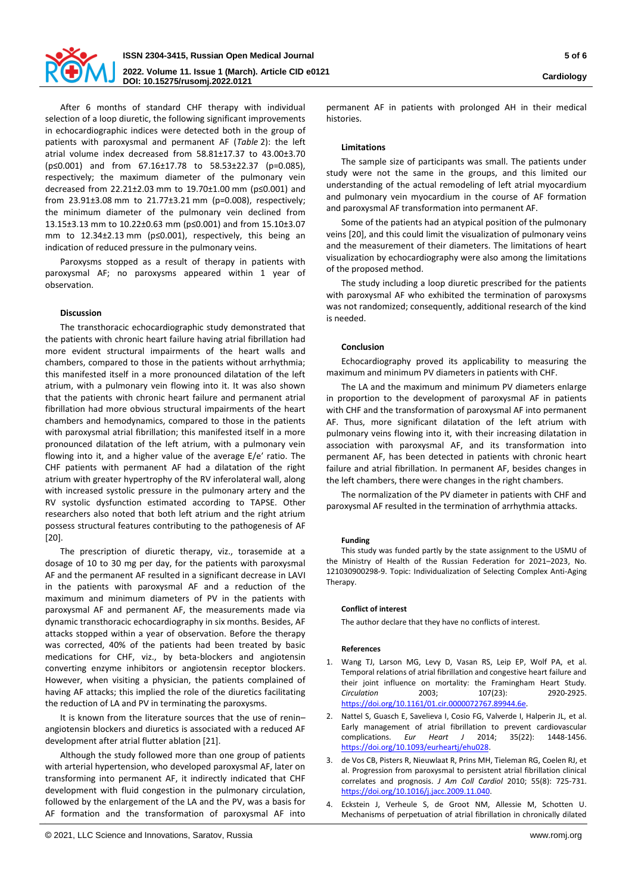

After 6 months of standard CHF therapy with individual selection of a loop diuretic, the following significant improvements in echocardiographic indices were detected both in the group of patients with paroxysmal and permanent AF (*Table* 2): the left atrial volume index decreased from 58.81±17.37 to 43.00±3.70 (р≤0.001) and from 67.16±17.78 to 58.53±22.37 (р=0.085), respectively; the maximum diameter of the pulmonary vein decreased from 22.21±2.03 mm to 19.70±1.00 mm (р≤0.001) and from 23.91±3.08 mm to 21.77±3.21 mm (р=0.008), respectively; the minimum diameter of the pulmonary vein declined from 13.15±3.13 mm to 10.22±0.63 mm (р≤0.001) and from 15.10±3.07 mm to 12.34±2.13 mm (p≤0.001), respectively, this being an indication of reduced pressure in the pulmonary veins.

Paroxysms stopped as a result of therapy in patients with paroxysmal AF; no paroxysms appeared within 1 year of observation.

# **Discussion**

The transthoracic echocardiographic study demonstrated that the patients with chronic heart failure having atrial fibrillation had more evident structural impairments of the heart walls and chambers, compared to those in the patients without arrhythmia; this manifested itself in a more pronounced dilatation of the left atrium, with a pulmonary vein flowing into it. It was also shown that the patients with chronic heart failure and permanent atrial fibrillation had more obvious structural impairments of the heart chambers and hemodynamics, compared to those in the patients with paroxysmal atrial fibrillation; this manifested itself in a more pronounced dilatation of the left atrium, with a pulmonary vein flowing into it, and a higher value of the average E/e′ ratio. The CHF patients with permanent AF had a dilatation of the right atrium with greater hypertrophy of the RV inferolateral wall, along with increased systolic pressure in the pulmonary artery and the RV systolic dysfunction estimated according to TAPSE. Other researchers also noted that both left atrium and the right atrium possess structural features contributing to the pathogenesis of AF [20].

The prescription of diuretic therapy, viz., torasemide at a dosage of 10 to 30 mg per day, for the patients with paroxysmal AF and the permanent AF resulted in a significant decrease in LAVI in the patients with paroxysmal AF and a reduction of the maximum and minimum diameters of PV in the patients with paroxysmal AF and permanent AF, the measurements made via dynamic transthoracic echocardiography in six months. Besides, AF attacks stopped within a year of observation. Before the therapy was corrected, 40% of the patients had been treated by basic medications for CHF, viz., by beta-blockers and angiotensin converting enzyme inhibitors or angiotensin receptor blockers. However, when visiting a physician, the patients complained of having AF attacks; this implied the role of the diuretics facilitating the reduction of LA and PV in terminating the paroxysms.

It is known from the literature sources that the use of renin– angiotensin blockers and diuretics is associated with a reduced AF development after atrial flutter ablation [21].

Although the study followed more than one group of patients with arterial hypertension, who developed paroxysmal AF, later on transforming into permanent AF, it indirectly indicated that CHF development with fluid congestion in the pulmonary circulation, followed by the enlargement of the LA and the PV, was a basis for AF formation and the transformation of paroxysmal AF into

permanent AF in patients with prolonged AH in their medical histories.

### **Limitations**

The sample size of participants was small. The patients under study were not the same in the groups, and this limited our understanding of the actual remodeling of left atrial myocardium and pulmonary vein myocardium in the course of AF formation and paroxysmal AF transformation into permanent AF.

Some of the patients had an atypical position of the pulmonary veins [20], and this could limit the visualization of pulmonary veins and the measurement of their diameters. The limitations of heart visualization by echocardiography were also among the limitations of the proposed method.

The study including a loop diuretic prescribed for the patients with paroxysmal AF who exhibited the termination of paroxysms was not randomized; consequently, additional research of the kind is needed.

# **Conclusion**

Echocardiography proved its applicability to measuring the maximum and minimum PV diameters in patients with CHF.

The LA and the maximum and minimum PV diameters enlarge in proportion to the development of paroxysmal AF in patients with CHF and the transformation of paroxysmal AF into permanent AF. Thus, more significant dilatation of the left atrium with pulmonary veins flowing into it, with their increasing dilatation in association with paroxysmal AF, and its transformation into permanent AF, has been detected in patients with chronic heart failure and atrial fibrillation. In permanent AF, besides changes in the left chambers, there were changes in the right chambers.

The normalization of the PV diameter in patients with CHF and paroxysmal AF resulted in the termination of arrhythmia attacks.

### **Funding**

This study was funded partly by the state assignment to the USMU of the Ministry of Health of the Russian Federation for 2021–2023, No. 121030900298-9. Topic: Individualization of Selecting Complex Anti-Aging Therapy.

### **Conflict of interest**

The author declare that they have no conflicts of interest.

### **References**

- 1. Wang TJ, Larson MG, Levy D, Vasan RS, Leip EP, Wolf PA, et al. Temporal relations of atrial fibrillation and congestive heart failure and their joint influence on mortality: the Framingham Heart Study. *Circulation* 2003; 107(23): 2920-2925. [https://doi.org/10.1161/01.cir.0000072767.89944.6e.](https://doi.org/10.1161/01.cir.0000072767.89944.6e)
- 2. Nattel S, Guasch E, Savelieva I, Cosio FG, Valverde I, Halperin JL, et al. Early management of atrial fibrillation to prevent cardiovascular complications. *Eur Heart J* 2014; 35(22): 1448-1456. [https://doi.org/10.1093/eurheartj/ehu028.](https://doi.org/10.1093/eurheartj/ehu028)
- 3. de Vos CB, Pisters R, Nieuwlaat R, Prins MH, Tieleman RG, Coelen RJ, et al. Progression from paroxysmal to persistent atrial fibrillation clinical correlates and prognosis. *J Am Coll Cardiol* 2010; 55(8): 725-731. [https://doi.org/10.1016/j.jacc.2009.11.040.](https://doi.org/10.1016/j.jacc.2009.11.040)
- 4. Eckstein J, Verheule S, de Groot NM, Allessie M, Schotten U. Mechanisms of perpetuation of atrial fibrillation in chronically dilated